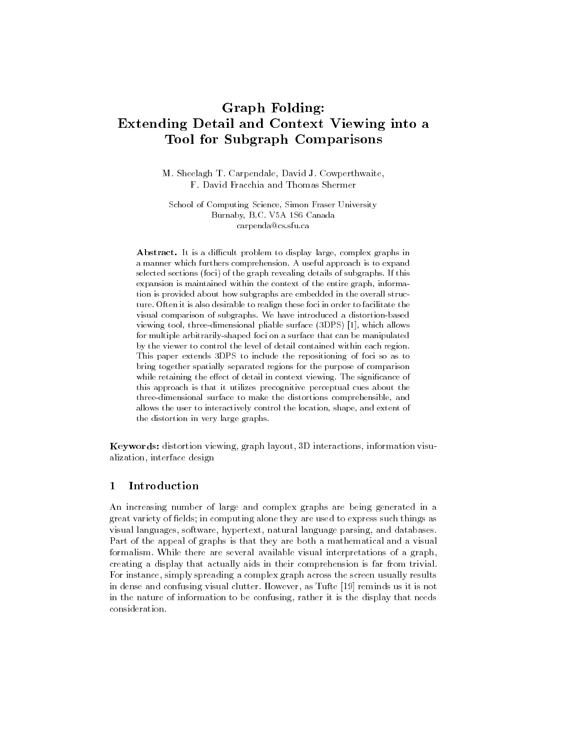# Graph Folding: Extending Detail and Context Viewing into a Tool for Subgraph Comparisons

M. Sheelagh T. Carpendale, David J. Cowperthwaite, F. David Fracchia and Thomas Shermer

School of Computing Science, Simon Fraser University Burnaby, B.C. V5A 1S6 Canada carpenda@cs.sfu.ca

carpenda and carpenda and carpenda and carpenda and carpenda and carpenda and carpenda and carpenda and carpenda

Abstract. It is a difficult problem to display large, complex graphs in a manner which furthers comprehension. A useful approach is to expand selected sections (foci) of the graph revealing details of subgraphs. If this expansion is maintained within the context of the entire graph, information is provided about how subgraphs are embedded in the overall structure. Often it is also desirable to realign these foci in order to facilitate the visual comparison of subgraphs. We have introduced a distortion-based viewing tool, three-dimensional pliable surface (3DPS) [1], which allows for multiple arbitrarily-shaped foci on a surface that can be manipulated by the viewer to control the level of detail contained within each region. This paper extends 3DPS to include the repositioning of foci so as to bring together spatially separated regions for the purpose of comparison while retaining the effect of detail in context viewing. The significance of this approach is that it utilizes precognitive perceptual cues about the three-dimensional surface to make the distortions comprehensible, and allows the user to interactively control the location, shape, and extent of the distortion in very large graphs.

Keywords: distortion viewing, graph layout, 3D interactions, information visualization, interface design

#### 1Introduction

An increasing number of large and complex graphs are being generated in a great variety of fields; in computing alone they are used to express such things as visual languages, software, hypertext, natural language parsing, and databases. Part of the appeal of graphs is that they are both a mathematical and a visual formalism. While there are several available visual interpretations of a graph, creating a display that actually aids in their comprehension is far from trivial. For instance, simply spreading a complex graph across the screen usually results in dense and confusing visual clutter. However, as Tufte [19] reminds us it is not in the nature of information to be confusing, rather it is the display that needs consideration.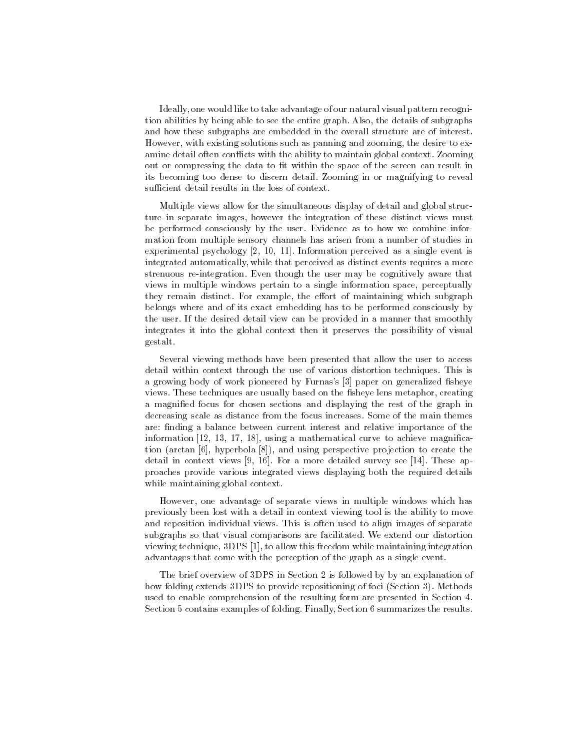Ideally, one would like to take advantage of our natural visual pattern recognition abilities by being able to see the entire graph. Also, the details of subgraphs and how these subgraphs are embedded in the overall structure are of interest. However, with existing solutions such as panning and zooming, the desire to examine detail often conflicts with the ability to maintain global context. Zooming out or compressing the data to fit within the space of the screen can result in its becoming too dense to discern detail. Zooming in or magnifying to reveal sufficient detail results in the loss of context.

Multiple views allow for the simultaneous display of detail and global structure in separate images, however the integration of these distinct views must be performed consciously by the user. Evidence as to how we combine information from multiple sensory channels has arisen from a number of studies in experimental psychology [2, 10, 11]. Information perceived as a single event is integrated automatically, while that perceived as distinct events requires a more strenuous re-integration. Even though the user may be cognitively aware that views in multiple windows pertain to a single information space, perceptually they remain distinct. For example, the effort of maintaining which subgraph belongs where and of its exact embedding has to be performed consciously by the user. If the desired detail view can be provided in a manner that smoothly integrates it into the global context then it preserves the possibility of visual gestalt.

Several viewing methods have been presented that allow the user to access detail within context through the use of various distortion techniques. This is a growing body of work pioneered by Furnas's [3] paper on generalized fisheye views. These techniques are usually based on the fisheye lens metaphor, creating a magnied focus for chosen sections and displaying the rest of the graph in decreasing scale as distance from the focus increases. Some of the main themes are: finding a balance between current interest and relative importance of the information [12, 13, 17, 18], using a mathematical curve to achieve magnication (arctan [6], hyperbola [8]), and using perspective projection to create the detail in context views [9, 16]. For a more detailed survey see [14]. These approaches provide various integrated views displaying both the required details while maintaining global context.

However, one advantage of separate views in multiple windows which has previously been lost with a detail in context viewing tool is the ability to move and reposition individual views. This is often used to align images of separate subgraphs so that visual comparisons are facilitated. We extend our distortion viewing technique, 3DPS [1], to allow this freedom while maintaining integration advantages that come with the perception of the graph as a single event.

The brief overview of 3DPS in Section 2 is followed by by an explanation of how folding extends 3DPS to provide repositioning of foci (Section 3). Methods used to enable comprehension of the resulting form are presented in Section 4. Section 5 contains examples of folding. Finally, Section 6 summarizes the results.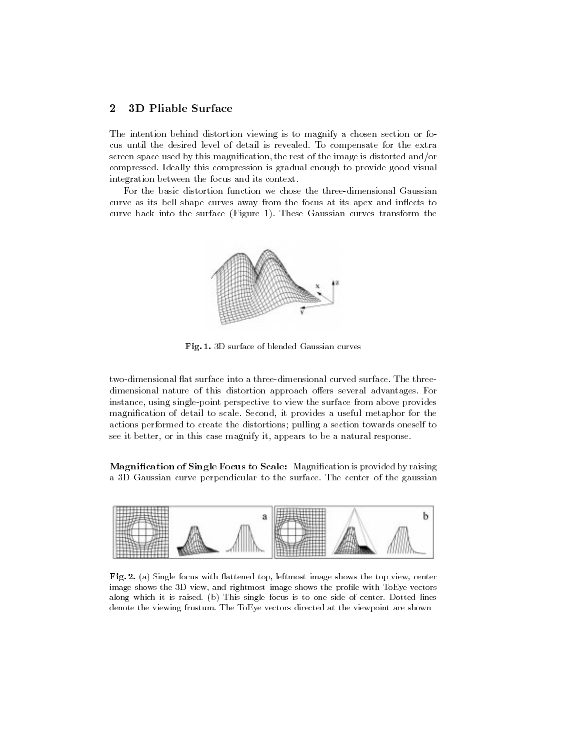#### 23D Pliable Surface

The intention behind distortion viewing is to magnify a chosen section or focus until the desired level of detail is revealed. To compensate for the extra screen space used by this magnication, the rest of the image is distorted and/or compressed. Ideally this compression is gradual enough to provide good visual integration between the focus and its context.

For the basic distortion function we chose the three-dimensional Gaussian curve as its bell shape curves away from the focus at its apex and inflects to curve back into the surface (Figure 1). These Gaussian curves transform the



Fig. 1. 3D surface of blended Gaussian curves

two-dimensional flat surface into a three-dimensional curved surface. The threedimensional nature of this distortion approach offers several advantages. For instance, using single-point perspective to view the surface from above provides magnication of detail to scale. Second, it provides a useful metaphor for the actions performed to create the distortions; pulling a section towards oneself to see it better, or in this case magnify it, appears to be a natural response.

**Magnification of Single Focus to Scale:** Magnification is provided by raising a 3D Gaussian curve perpendicular to the surface. The center of the gaussian



Fig. 2. (a) Single focus with flattened top, leftmost image shows the top view, center image shows the 3D view, and rightmost image shows the profile with ToEye vectors along which it is raised. (b) This single focus is to one side of center. Dotted lines denote the viewing frustum. The ToEye vectors directed at the viewpoint are shown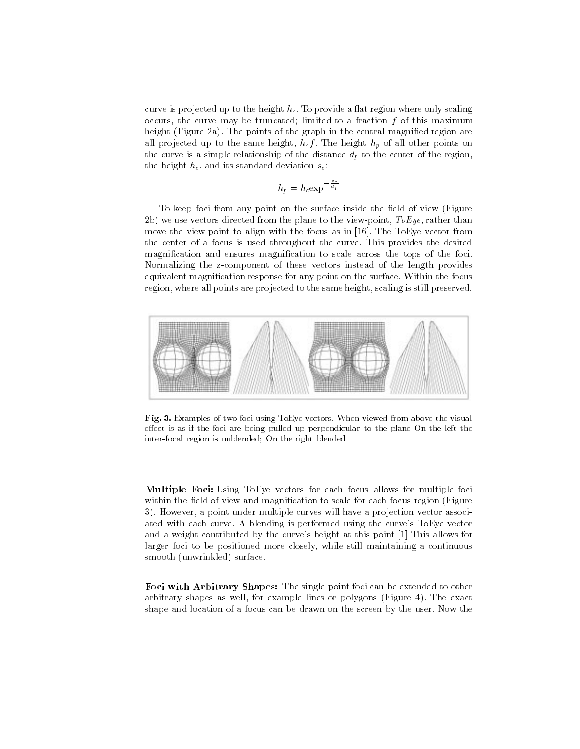curve is projected up to the height  $h_c$ . To provide a flat region where only scaling occurs, the curve may be truncated; limited to a fraction  $f$  of this maximum height (Figure 2a). The points of the graph in the central magnified region are all projected up to the same height,  $h_c f$ . The height  $h_p$  of all other points on the curve is a simple relationship of the distance  $d_p$  to the center of the region, the height  $h_c$ , and its standard deviation  $s_c$ :

$$
h_p = h_c \mathrm{exp}^{-\frac{s_c}{d_p}}
$$

To keep foci from any point on the surface inside the field of view (Figure 2b) we use vectors directed from the plane to the view-point,  $ToEye$ , rather than move the view-point to align with the focus as in [16]. The ToEye vector from the center of a focus is used throughout the curve. This provides the desired magnification and ensures magnification to scale across the tops of the foci. Normalizing the z-component of these vectors instead of the length provides equivalent magnication response for any point on the surface. Within the focus region, where all points are projected to the same height, scaling is still preserved.



Fig. 3. Examples of two foci using ToEye vectors. When viewed from above the visual effect is as if the foci are being pulled up perpendicular to the plane On the left the inter-focal region is unblended; On the right blended

Multiple Foci: Using ToEye vectors for each focus allows for multiple foci within the field of view and magnification to scale for each focus region (Figure 3). However, a point under multiple curves will have a projection vector associated with each curve. A blending is performed using the curve's ToEye vector and a weight contributed by the curve's height at this point [1] This allows for larger foci to be positioned more closely, while still maintaining a continuous smooth (unwrinkled) surface.

Foci with Arbitrary Shapes: The single-point foci can be extended to other arbitrary shapes as well, for example lines or polygons (Figure 4). The exact shape and location of a focus can be drawn on the screen by the user. Now the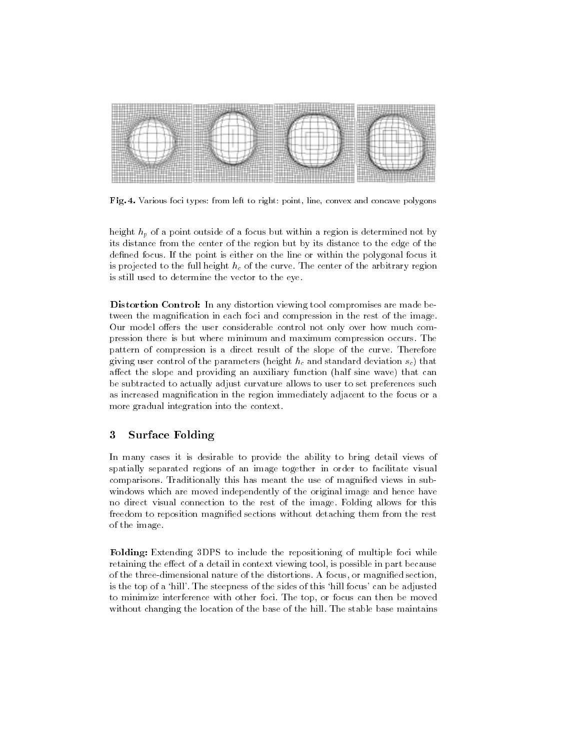

Fig. 4. Various foci types: from left to right: point, line, convex and concave polygons

height  $h_p$  of a point outside of a focus but within a region is determined not by its distance from the center of the region but by its distance to the edge of the defined focus. If the point is either on the line or within the polygonal focus it is projected to the full height  $h_c$  of the curve. The center of the arbitrary region is still used to determine the vector to the eye.

Distortion Control: In any distortion viewing tool compromises are made between the magnication in each foci and compression in the rest of the image. Our model offers the user considerable control not only over how much compression there is but where minimum and maximum compression occurs. The pattern of compression is a direct result of the slope of the curve. Therefore giving user control of the parameters (height  $h_c$  and standard deviation  $s_c$ ) that affect the slope and providing an auxiliary function (half sine wave) that can be subtracted to actually adjust curvature allows to user to set preferences such as increased magnication in the region immediately adjacent to the focus or a more gradual integration into the context.

#### 3Surface Folding

In many cases it is desirable to provide the ability to bring detail views of spatially separated regions of an image together in order to facilitate visual comparisons. Traditionally this has meant the use of magnied views in subwindows which are moved independently of the original image and hence have no direct visual connection to the rest of the image. Folding allows for this freedom to reposition magnified sections without detaching them from the rest of the image.

Folding: Extending 3DPS to include the repositioning of multiple foci while retaining the effect of a detail in context viewing tool, is possible in part because of the three-dimensional nature of the distortions. A focus, or magnied section, is the top of a `hill'. The steepness of the sides of this `hill focus' can be adjusted to minimize interference with other foci. The top, or focus can then be moved without changing the location of the base of the hill. The stable base maintains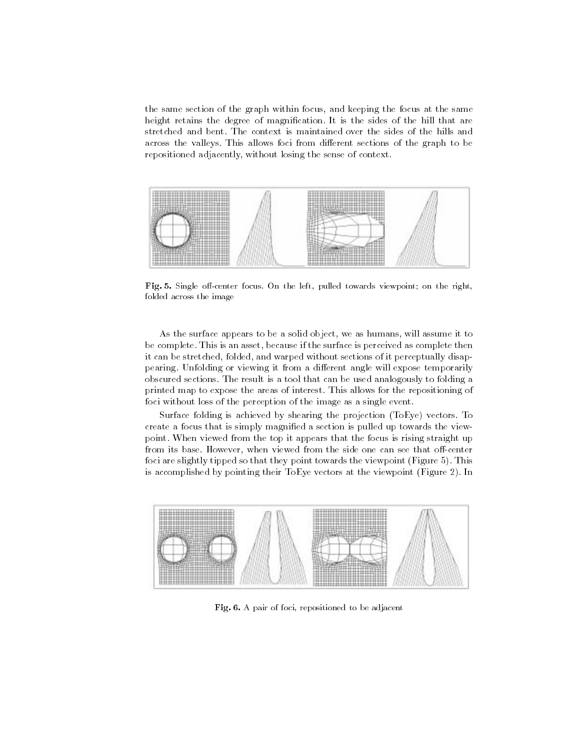the same section of the graph within focus, and keeping the focus at the same height retains the degree of magnication. It is the sides of the hill that are stretched and bent. The context is maintained over the sides of the hills and across the valleys. This allows foci from different sections of the graph to be repositioned adjacently, without losing the sense of context.



Fig. 5. Single off-center focus. On the left, pulled towards viewpoint; on the right, folded across the image

As the surface appears to be a solid object, we as humans, will assume it to be complete. This is an asset, because if the surface is perceived as complete then it can be stretched, folded, and warped without sections of it perceptually disappearing. Unfolding or viewing it from a different angle will expose temporarily obscured sections. The result is a tool that can be used analogously to folding a printed map to expose the areas of interest. This allows for the repositioning of foci without loss of the perception of the image as a single event.

Surface folding is achieved by shearing the projection (ToEye) vectors. To create a focus that is simply magnied a section is pulled up towards the viewpoint. When viewed from the top it appears that the focus is rising straight up from its base. However, when viewed from the side one can see that off-center foci are slightly tipped so that they point towards the viewpoint (Figure 5). This is accomplished by pointing their ToEye vectors at the viewpoint (Figure 2). In



Fig. 6. A pair of foci, repositioned to be adjacent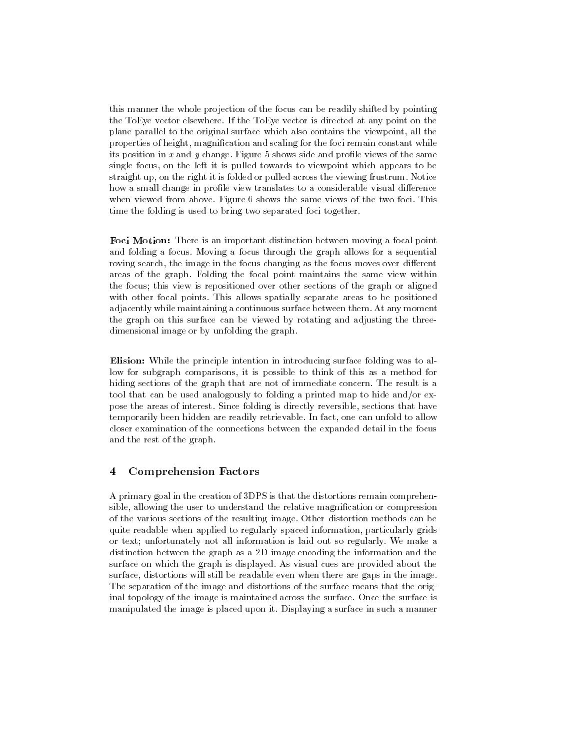this manner the whole projection of the focus can be readily shifted by pointing the ToEye vector elsewhere. If the ToEye vector is directed at any point on the plane parallel to the original surface which also contains the viewpoint, all the properties of height, magnification and scaling for the foci remain constant while its position in x and y change. Figure 5 shows side and profile views of the same single focus, on the left it is pulled towards to viewpoint which appears to be straight up, on the right it is folded or pulled across the viewing frustrum. Notice how a small change in profile view translates to a considerable visual difference when viewed from above. Figure 6 shows the same views of the two foci. This time the folding is used to bring two separated foci together.

Foci Motion: There is an important distinction between moving a focal point and folding a focus. Moving a focus through the graph allows for a sequential roving search, the image in the focus changing as the focus moves over different areas of the graph. Folding the focal point maintains the same view within the focus; this view is repositioned over other sections of the graph or aligned with other focal points. This allows spatially separate areas to be positioned adjacently while maintaining a continuous surface between them. At any moment the graph on this surface can be viewed by rotating and adjusting the threedimensional image or by unfolding the graph.

Elision: While the principle intention in introducing surface folding was to allow for subgraph comparisons, it is possible to think of this as a method for hiding sections of the graph that are not of immediate concern. The result is a tool that can be used analogously to folding a printed map to hide and/or expose the areas of interest. Since folding is directly reversible, sections that have temporarily been hidden are readily retrievable. In fact, one can unfold to allow closer examination of the connections between the expanded detail in the focus and the rest of the graph.

#### 4Comprehension Factors

A primary goal in the creation of 3DPS is that the distortions remain comprehensible, allowing the user to understand the relative magnication or compression of the various sections of the resulting image. Other distortion methods can be quite readable when applied to regularly spaced information, particularly grids or text; unfortunately not all information is laid out so regularly. We make a distinction between the graph as a 2D image encoding the information and the surface on which the graph is displayed. As visual cues are provided about the surface, distortions will still be readable even when there are gaps in the image. The separation of the image and distortions of the surface means that the original topology of the image is maintained across the surface. Once the surface is manipulated the image is placed upon it. Displaying a surface in such a manner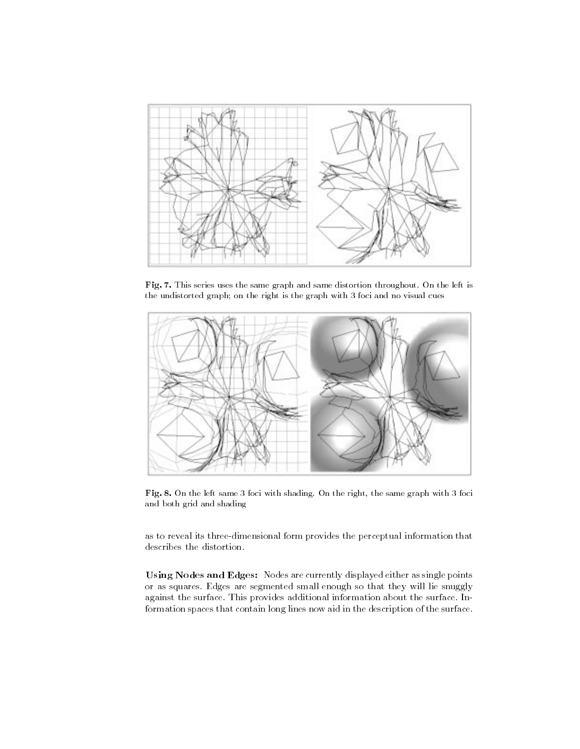

Fig. 7. This series uses the same graph and same distortion throughout. On the left is the undistorted graph; on the right is the graph with 3 foci and no visual cues



Fig. 8. On the left same 3 foci with shading. On the right, the same graph with 3 foci and both grid and shading

as to reveal its three-dimensional form provides the perceptual information that describes the distortion.

Using Nodes and Edges: Nodes are currently displayed either as single points or as squares. Edges are segmented small enough so that they will lie snuggly against the surface. This provides additional information about the surface. Information spaces that contain long lines now aid in the description of the surface.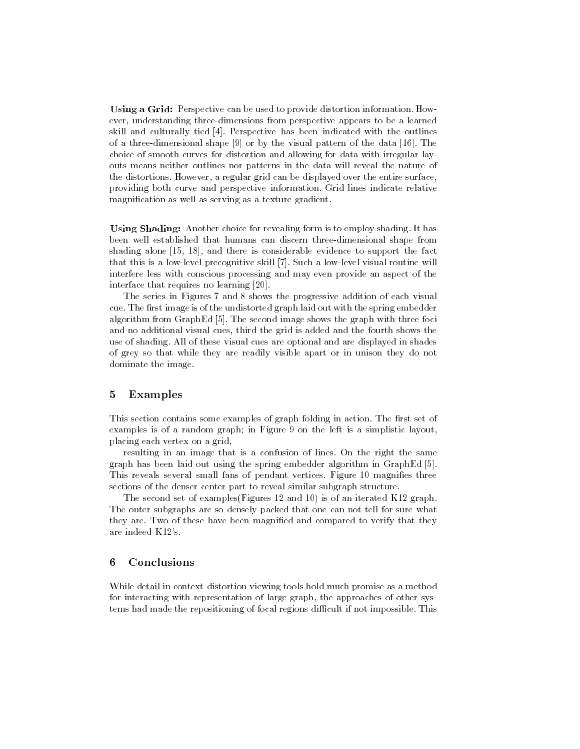Using a Grid: Perspective can be used to provide distortion information. However, understanding three-dimensions from perspective appears to be a learned skill and culturally tied [4]. Perspective has been indicated with the outlines of a three-dimensional shape [9] or by the visual pattern of the data [16]. The choice of smooth curves for distortion and allowing for data with irregular layouts means neither outlines nor patterns in the data will reveal the nature of the distortions. However, a regular grid can be displayed over the entire surface, providing both curve and perspective information. Grid lines indicate relative magnication as well as serving as a texture gradient.

Using Shading: Another choice for revealing form is to employ shading. It has been well established that humans can discern three-dimensional shape from shading alone [15, 18], and there is considerable evidence to support the fact that this is a low-level precognitive skill [7]. Such a low-level visual routine will interfere less with conscious processing and may even provide an aspect of the interface that requires no learning [20].

The series in Figures 7 and 8 shows the progressive addition of each visual cue. The first image is of the undistorted graph laid out with the spring embedder algorithm from GraphEd [5]. The second image shows the graph with three foci and no additional visual cues, third the grid is added and the fourth shows the use of shading. All of these visual cues are optional and are displayed in shades of grey so that while they are readily visible apart or in unison they do not dominate the image.

#### 5Examples

This section contains some examples of graph folding in action. The first set of examples is of a random graph; in Figure 9 on the left is a simplistic layout, placing each vertex on a grid,

resulting in an image that is a confusion of lines. On the right the same graph has been laid out using the spring embedder algorithm in GraphEd [5]. This reveals several small fans of pendant vertices. Figure 10 magnifies three sections of the denser center part to reveal similar subgraph structure.

The second set of examples(Figures 12 and 10) is of an iterated K12 graph. The outer subgraphs are so densely packed that one can not tell for sure what they are. Two of these have been magnied and compared to verify that they are indeed K12's.

#### 6Conclusions

While detail in context distortion viewing tools hold much promise as a method for interacting with representation of large graph, the approaches of other systems had made the repositioning of focal regions difficult if not impossible. This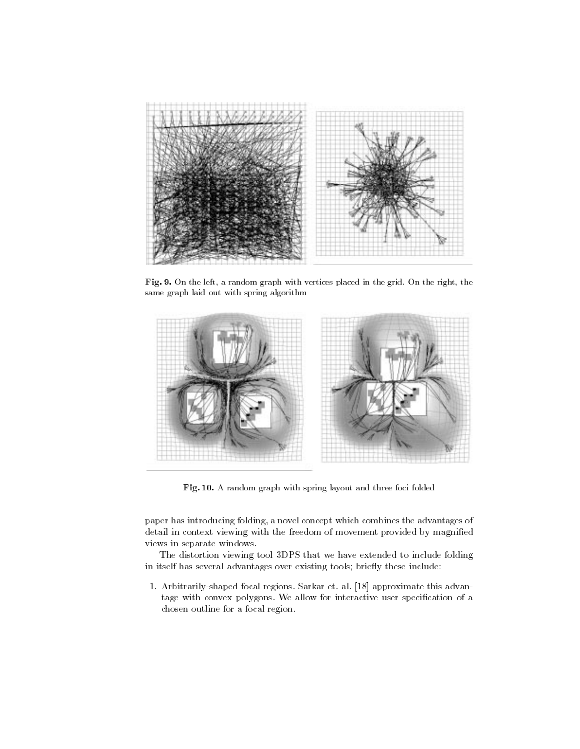

Fig. 9. On the left, a random graph with vertices placed in the grid. On the right, the same graph laid out with spring algorithm



Fig. 10. A random graph with spring layout and three foci folded

paper has introducing folding, a novel concept which combines the advantages of detail in context viewing with the freedom of movement provided by magnified views in separate windows.

The distortion viewing tool 3DPS that we have extended to include folding in itself has several advantages over existing tools; briefly these include:

1. Arbitrarily-shaped focal regions. Sarkar et. al. [18] approximate this advantage with convex polygons. We allow for interactive user specification of a chosen outline for a focal region.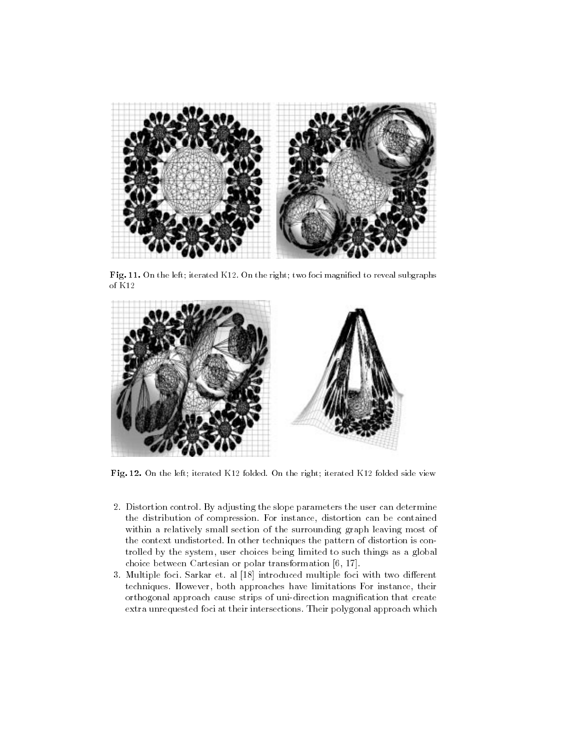

Fig. 11. On the left; iterated K12. On the right; two foci magnied to reveal subgraphs of K12



Fig. 12. On the left; iterated K12 folded. On the right; iterated K12 folded side view

- 2. Distortion control. By adjusting the slope parameters the user can determine the distribution of compression. For instance, distortion can be contained within a relatively small section of the surrounding graph leaving most of the context undistorted. In other techniques the pattern of distortion is controlled by the system, user choices being limited to such things as a global choice between Cartesian or polar transformation [6, 17].
- 3. Multiple foci. Sarkar et. al [18] introduced multiple foci with two different techniques. However, both approaches have limitations For instance, their orthogonal approach cause strips of uni-direction magnication that create extra unrequested foci at their intersections. Their polygonal approach which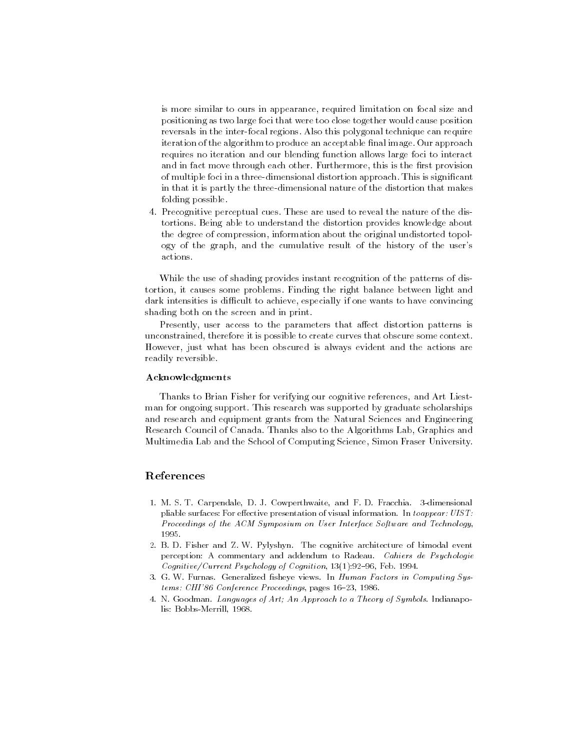is more similar to ours in appearance, required limitation on focal size and positioning as two large foci that were too close together would cause position reversals in the inter-focal regions. Also this polygonal technique can require iteration of the algorithm to produce an acceptable final image. Our approach requires no iteration and our blending function allows large foci to interact and in fact move through each other. Furthermore, this is the first provision of multiple foci in a three-dimensional distortion approach. This is signicant in that it is partly the three-dimensional nature of the distortion that makes folding possible.

4. Precognitive perceptual cues. These are used to reveal the nature of the distortions. Being able to understand the distortion provides knowledge about the degree of compression, information about the original undistorted topology of the graph, and the cumulative result of the history of the user's actions.

While the use of shading provides instant recognition of the patterns of distortion, it causes some problems. Finding the right balance between light and dark intensities is difficult to achieve, especially if one wants to have convincing shading both on the screen and in print.

Presently, user access to the parameters that affect distortion patterns is unconstrained, therefore it is possible to create curves that obscure some context. However, just what has been obscured is always evident and the actions are readily reversible.

### Acknowledgments

Thanks to Brian Fisher for verifying our cognitive references, and Art Liestman for ongoing support. This research was supported by graduate scholarships and research and equipment grants from the Natural Sciences and Engineering Research Council of Canada. Thanks also to the Algorithms Lab, Graphics and Multimedia Lab and the School of Computing Science, Simon Fraser University.

## References

- 1. M. S. T. Carpendale, D. J. Cowperthwaite, and F. D. Fracchia. 3-dimensional pliable surfaces: For effective presentation of visual information. In toappear:  $UIST$ : Proceedings of the ACM Symposium on User Interface Software and Technology, 1995
- 2. B. D. Fisher and Z. W. Pylyshyn. The cognitive architecture of bimodal event perception: A commentary and addendum to Radeau. Cahiers de Psychologie Cognitive/Current Psychology of Cognition,  $13(1):92-96$ , Feb. 1994.
- 3. G. W. Furnas. Generalized fisheye views. In Human Factors in Computing Systems: CHI'86 Conference Proceedings, pages 16-23, 1986.
- 4. N. Goodman. Languages of Art; An Approach to a Theory of Symbols. Indianapolis: Bobbs-Merrill, 1968.